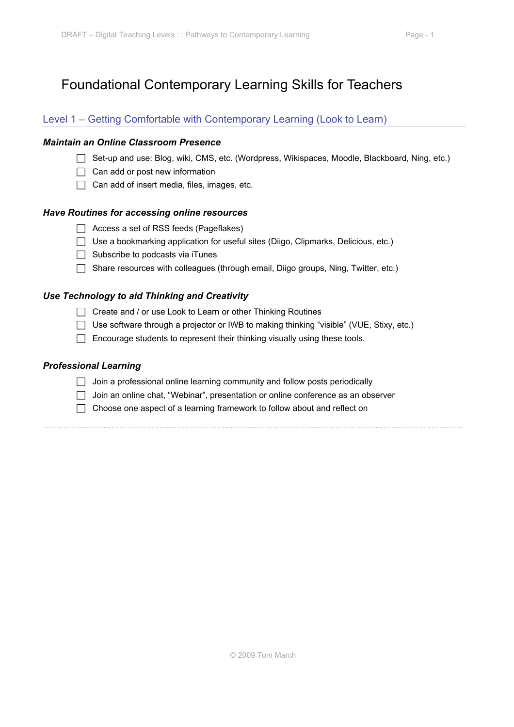# Foundational Contemporary Learning Skills for Teachers

### Level 1 – Getting Comfortable with Contemporary Learning (Look to Learn)

#### *Maintain an Online Classroom Presence*

- □ Set-up and use: Blog, wiki, CMS, etc. (Wordpress, Wikispaces, Moodle, Blackboard, Ning, etc.)
- $\Box$  Can add or post new information
- $\Box$  Can add of insert media, files, images, etc.

#### *Have Routines for accessing online resources*

- $\Box$  Access a set of RSS feeds (Pageflakes)
- $\Box$  Use a bookmarking application for useful sites (Diigo, Clipmarks, Delicious, etc.)
- $\Box$  Subscribe to podcasts via iTunes
- $\Box$  Share resources with colleagues (through email, Diigo groups, Ning, Twitter, etc.)

#### *Use Technology to aid Thinking and Creativity*

- Create and / or use Look to Learn or other Thinking Routines
- □ Use software through a projector or IWB to making thinking "visible" (VUE, Stixy, etc.)
- $\Box$  Encourage students to represent their thinking visually using these tools.

#### *Professional Learning*

- $\Box$  Join a professional online learning community and follow posts periodically
- Join an online chat, "Webinar", presentation or online conference as an observer
- $\Box$  Choose one aspect of a learning framework to follow about and reflect on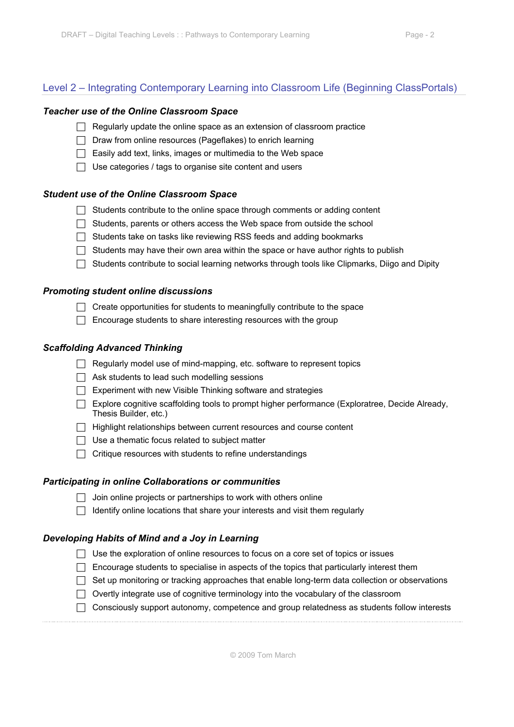# Level 2 – Integrating Contemporary Learning into Classroom Life (Beginning ClassPortals)

#### *Teacher use of the Online Classroom Space*

- $\Box$  Regularly update the online space as an extension of classroom practice
- $\Box$  Draw from online resources (Pageflakes) to enrich learning
- $\Box$  Easily add text, links, images or multimedia to the Web space
- $\Box$  Use categories / tags to organise site content and users

#### *Student use of the Online Classroom Space*

- $\Box$  Students contribute to the online space through comments or adding content
- $\Box$  Students, parents or others access the Web space from outside the school
- $\Box$  Students take on tasks like reviewing RSS feeds and adding bookmarks
- $\Box$  Students may have their own area within the space or have author rights to publish
- $\Box$  Students contribute to social learning networks through tools like Clipmarks, Diigo and Dipity

#### *Promoting student online discussions*

- $\Box$  Create opportunities for students to meaningfully contribute to the space
- $\Box$  Encourage students to share interesting resources with the group

#### *Scaffolding Advanced Thinking*

- $\Box$  Regularly model use of mind-mapping, etc. software to represent topics
- $\Box$  Ask students to lead such modelling sessions
- $\Box$  Experiment with new Visible Thinking software and strategies
- Explore cognitive scaffolding tools to prompt higher performance (Exploratree, Decide Already, Thesis Builder, etc.)
- $\Box$  Highlight relationships between current resources and course content
- $\Box$  Use a thematic focus related to subject matter
- $\Box$  Critique resources with students to refine understandings

# *Participating in online Collaborations or communities*

- $\Box$  Join online projects or partnerships to work with others online
- $\Box$  Identify online locations that share your interests and visit them regularly

# *Developing Habits of Mind and a Joy in Learning*

- $\Box$  Use the exploration of online resources to focus on a core set of topics or issues
- $\Box$  Encourage students to specialise in aspects of the topics that particularly interest them
- $\Box$  Set up monitoring or tracking approaches that enable long-term data collection or observations
- $\Box$  Overtly integrate use of cognitive terminology into the vocabulary of the classroom
- Consciously support autonomy, competence and group relatedness as students follow interests